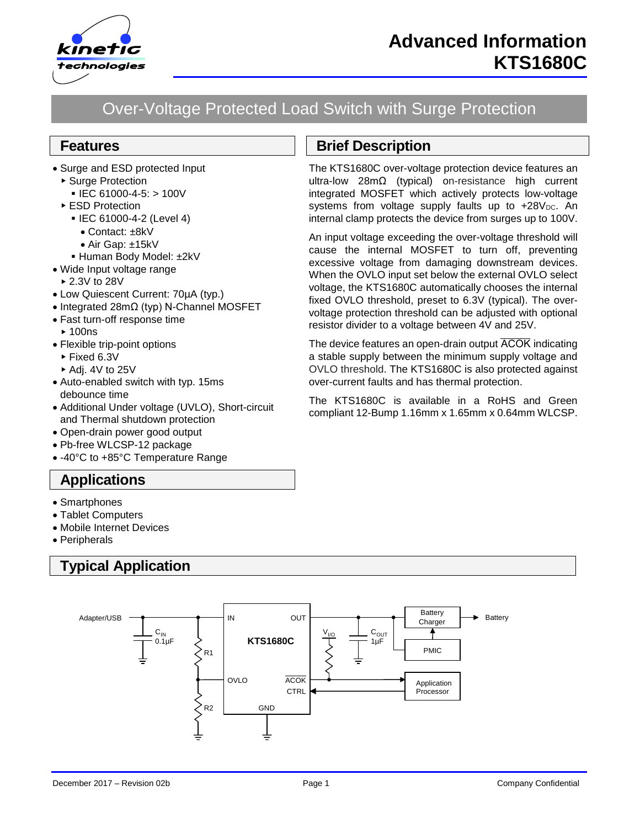

# Over-Voltage Protected Load Switch with Surge Protection

### **Features**

- Surge and ESD protected Input
	- ▶ Surge Protection
		- $\blacksquare$  IEC 61000-4-5: > 100V
	- ▶ ESD Protection
		- IEC 61000-4-2 (Level 4)
			- Contact: ±8kV
		- Air Gap: ±15kV
		- Human Body Model: ±2kV
- Wide Input voltage range
	- 2.3V to 28V
- Low Quiescent Current: 70µA (typ.)
- Integrated 28mΩ (typ) N-Channel MOSFET
- Fast turn-off response time
	- $\blacktriangleright$  100ns
- Flexible trip-point options
- ► Fixed 6.3V
- $\blacktriangleright$  Adi. 4V to 25V
- Auto-enabled switch with typ. 15ms debounce time
- Additional Under voltage (UVLO), Short-circuit and Thermal shutdown protection
- Open-drain power good output
- Pb-free WLCSP-12 package
- -40°C to +85°C Temperature Range

## **Applications**

- Smartphones
- Tablet Computers
- Mobile Internet Devices
- Peripherals

## **Typical Application**



# **Brief Description**

The KTS1680C over-voltage protection device features an ultra-low 28mΩ (typical) on-resistance high current integrated MOSFET which actively protects low-voltage systems from voltage supply faults up to  $+28V_{DC}$ . An internal clamp protects the device from surges up to 100V.

An input voltage exceeding the over-voltage threshold will cause the internal MOSFET to turn off, preventing excessive voltage from damaging downstream devices. When the OVLO input set below the external OVLO select voltage, the KTS1680C automatically chooses the internal fixed OVLO threshold, preset to 6.3V (typical). The overvoltage protection threshold can be adjusted with optional resistor divider to a voltage between 4V and 25V.

The device features an open-drain output ACOK indicating a stable supply between the minimum supply voltage and OVLO threshold. The KTS1680C is also protected against over-current faults and has thermal protection.

The KTS1680C is available in a RoHS and Green compliant 12-Bump 1.16mm x 1.65mm x 0.64mm WLCSP.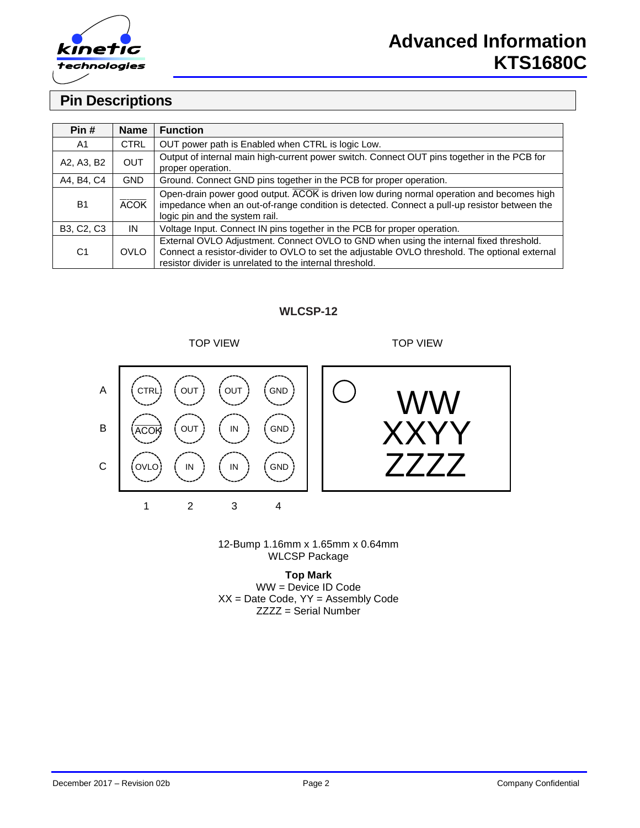

## **Pin Descriptions**

| Pin#              | <b>Name</b> | <b>Function</b>                                                                                                                                                                                                                                      |
|-------------------|-------------|------------------------------------------------------------------------------------------------------------------------------------------------------------------------------------------------------------------------------------------------------|
| A1                | <b>CTRL</b> | OUT power path is Enabled when CTRL is logic Low.                                                                                                                                                                                                    |
| A2, A3, B2        | <b>OUT</b>  | Output of internal main high-current power switch. Connect OUT pins together in the PCB for<br>proper operation.                                                                                                                                     |
| A4, B4, C4        | GND.        | Ground. Connect GND pins together in the PCB for proper operation.                                                                                                                                                                                   |
| <b>B1</b>         | <b>ACOK</b> | Open-drain power good output. ACOK is driven low during normal operation and becomes high<br>impedance when an out-of-range condition is detected. Connect a pull-up resistor between the<br>logic pin and the system rail.                          |
| <b>B3, C2, C3</b> | IN          | Voltage Input. Connect IN pins together in the PCB for proper operation.                                                                                                                                                                             |
| C <sub>1</sub>    | <b>OVLO</b> | External OVLO Adjustment. Connect OVLO to GND when using the internal fixed threshold.<br>Connect a resistor-divider to OVLO to set the adjustable OVLO threshold. The optional external<br>resistor divider is unrelated to the internal threshold. |

#### **WLCSP-12**

TOP VIEW TOP VIEW



XXYY WW

12-Bump 1.16mm x 1.65mm x 0.64mm WLCSP Package

**Top Mark** WW = Device ID Code  $XX =$  Date Code,  $YY =$  Assembly Code ZZZZ = Serial Number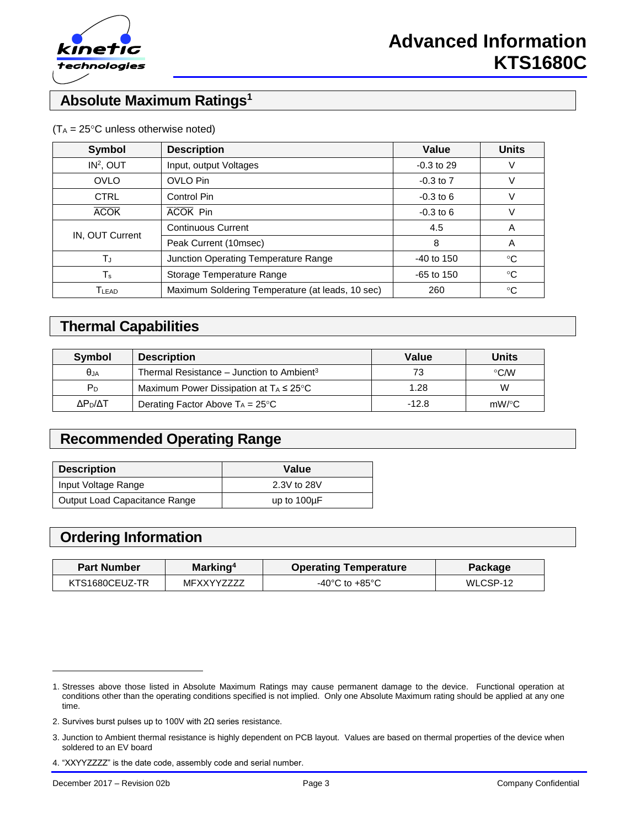

## **Absolute Maximum Ratings<sup>1</sup>**

| <b>Symbol</b>                  | <b>Description</b>                                      |               | <b>Units</b> |
|--------------------------------|---------------------------------------------------------|---------------|--------------|
| IN <sup>2</sup> , OUT          | Input, output Voltages                                  | $-0.3$ to 29  | V            |
| <b>OVLO</b>                    | OVLO Pin                                                | $-0.3$ to $7$ | V            |
| <b>CTRL</b>                    | Control Pin                                             |               | V            |
| <b>ACOK Pin</b><br><b>ACOK</b> |                                                         | $-0.3$ to 6   | V            |
| IN, OUT Current                | <b>Continuous Current</b>                               | 4.5           | A            |
|                                | Peak Current (10msec)                                   | 8             | A            |
| TJ                             | Junction Operating Temperature Range                    | $-40$ to 150  | °C           |
| Ts                             | Storage Temperature Range                               |               | $^{\circ}C$  |
| $\mathsf{T}_{\mathsf{LEAD}}$   | Maximum Soldering Temperature (at leads, 10 sec)<br>260 |               |              |

#### $(T_A = 25^{\circ}C$  unless otherwise noted)

## **Thermal Capabilities**

| Symbol              | <b>Description</b>                                    | Value   | <b>Units</b> |
|---------------------|-------------------------------------------------------|---------|--------------|
| $\theta$ JA         | Thermal Resistance – Junction to Ambient <sup>3</sup> | 73      | $\circ$ CMV  |
| P <sub>D</sub>      | Maximum Power Dissipation at $T_A \leq 25^{\circ}C$   | 1.28    | W            |
| ΔΡ <sub>Ρ</sub> /ΔΤ | Derating Factor Above $T_A = 25^{\circ}C$             | $-12.8$ | $mW$ /°C     |

## **Recommended Operating Range**

| <b>Description</b>            | Value            |
|-------------------------------|------------------|
| Input Voltage Range           | 2.3V to 28V      |
| Output Load Capacitance Range | up to $100\mu F$ |

## **Ordering Information**

| Marking <sup>4</sup><br><b>Part Number</b> |            | <b>Operating Temperature</b>         | Package   |  |
|--------------------------------------------|------------|--------------------------------------|-----------|--|
| KTS1680CFUZ-TR                             | MFXXYY7777 | -40 $^{\circ}$ C to +85 $^{\circ}$ C | WI CSP-12 |  |

l

<sup>1.</sup> Stresses above those listed in Absolute Maximum Ratings may cause permanent damage to the device. Functional operation at conditions other than the operating conditions specified is not implied. Only one Absolute Maximum rating should be applied at any one time.

<sup>2.</sup> Survives burst pulses up to 100V with 2Ω series resistance.

<sup>3.</sup> Junction to Ambient thermal resistance is highly dependent on PCB layout. Values are based on thermal properties of the device when soldered to an EV board

<sup>4.</sup> "XXYYZZZZ" is the date code, assembly code and serial number.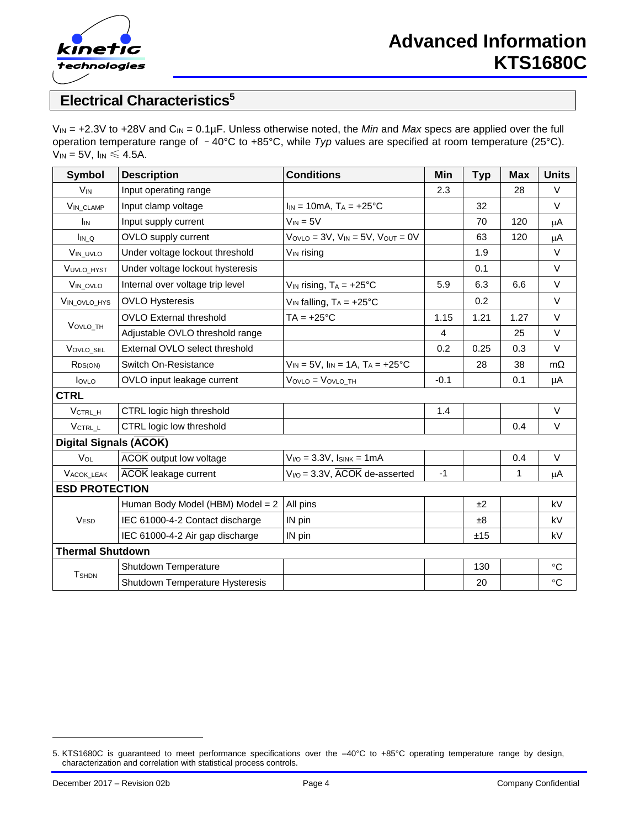

## **Electrical Characteristics<sup>5</sup>**

V<sub>IN</sub> = +2.3V to +28V and C<sub>IN</sub> = 0.1µF. Unless otherwise noted, the *Min* and *Max* specs are applied over the full operation temperature range of –40°C to +85°C, while *Typ* values are specified at room temperature (25°C).  $V_{IN} = 5V$ ,  $I_{IN} \leq 4.5A$ .

| <b>Symbol</b>                 | <b>Description</b>               | <b>Conditions</b>                                | Min    | <b>Typ</b> | <b>Max</b>   | <b>Units</b> |
|-------------------------------|----------------------------------|--------------------------------------------------|--------|------------|--------------|--------------|
| <b>V<sub>IN</sub></b>         | Input operating range            |                                                  | 2.3    |            | 28           | V            |
| <b>VIN CLAMP</b>              | Input clamp voltage              | $I_{IN} = 10mA$ , $T_A = +25°C$                  |        | 32         |              | $\vee$       |
| <b>I</b> IN                   | Input supply current             | $V_{IN} = 5V$                                    |        | 70         | 120          | μA           |
| $I_{IN\_Q}$                   | OVLO supply current              | $V_{OVLO} = 3V$ , $V_{IN} = 5V$ , $V_{OUT} = 0V$ |        | 63         | 120          | $\mu$ A      |
| VIN_UVLO                      | Under voltage lockout threshold  | V <sub>IN</sub> rising                           |        | 1.9        |              | $\vee$       |
| VUVLO_HYST                    | Under voltage lockout hysteresis |                                                  |        | 0.1        |              | $\vee$       |
| VIN_OVLO                      | Internal over voltage trip level | $V_{IN}$ rising, $T_A = +25^{\circ}C$            | 5.9    | 6.3        | 6.6          | $\vee$       |
| VIN_OVLO_HYS                  | <b>OVLO Hysteresis</b>           | $V_{IN}$ falling, $T_A = +25^{\circ}C$           |        | 0.2        |              | $\vee$       |
|                               | <b>OVLO External threshold</b>   | $TA = +25^{\circ}C$                              | 1.15   | 1.21       | 1.27         | $\vee$       |
| VOVLO_TH                      | Adjustable OVLO threshold range  |                                                  | 4      |            | 25           | $\vee$       |
| VOVLO_SEL                     | External OVLO select threshold   |                                                  | 0.2    | 0.25       | 0.3          | $\vee$       |
| R <sub>DS(ON)</sub>           | Switch On-Resistance             | $V_{IN} = 5V$ , $I_{IN} = 1A$ , $T_A = +25$ °C   |        | 28         | 38           | $m\Omega$    |
| lovLo                         | OVLO input leakage current       | $V_{OVLO} = V_{OVLO_TH}$                         | $-0.1$ |            | 0.1          | μA           |
| <b>CTRL</b>                   |                                  |                                                  |        |            |              |              |
| VCTRL H                       | CTRL logic high threshold        |                                                  | 1.4    |            |              | $\vee$       |
| $V_{\text{CTRL\_L}}$          | CTRL logic low threshold         |                                                  |        |            | 0.4          | $\vee$       |
| <b>Digital Signals (ACOK)</b> |                                  |                                                  |        |            |              |              |
| VOL                           | <b>ACOK</b> output low voltage   | $V_{I/O} = 3.3V$ , $I_{SINK} = 1mA$              |        |            | 0.4          | $\vee$       |
| VACOK_LEAK                    | <b>ACOK</b> leakage current      | $V_{I/O}$ = 3.3V, $\overline{ACOK}$ de-asserted  | $-1$   |            | $\mathbf{1}$ | μA           |
| <b>ESD PROTECTION</b>         |                                  |                                                  |        |            |              |              |
|                               | Human Body Model (HBM) Model = 2 | All pins                                         |        | ±2         |              | kV           |
| <b>VESD</b>                   | IEC 61000-4-2 Contact discharge  | IN pin                                           |        | $\pm 8$    |              | kV           |
|                               | IEC 61000-4-2 Air gap discharge  | IN pin                                           |        | ±15        |              | kV           |
| <b>Thermal Shutdown</b>       |                                  |                                                  |        |            |              |              |
|                               | Shutdown Temperature             |                                                  |        | 130        |              | $^{\circ}C$  |
| <b>T</b> SHDN                 | Shutdown Temperature Hysteresis  |                                                  |        | 20         |              | $\circ$ C    |

l

<sup>5.</sup> KTS1680C is guaranteed to meet performance specifications over the –40°C to +85°C operating temperature range by design, characterization and correlation with statistical process controls.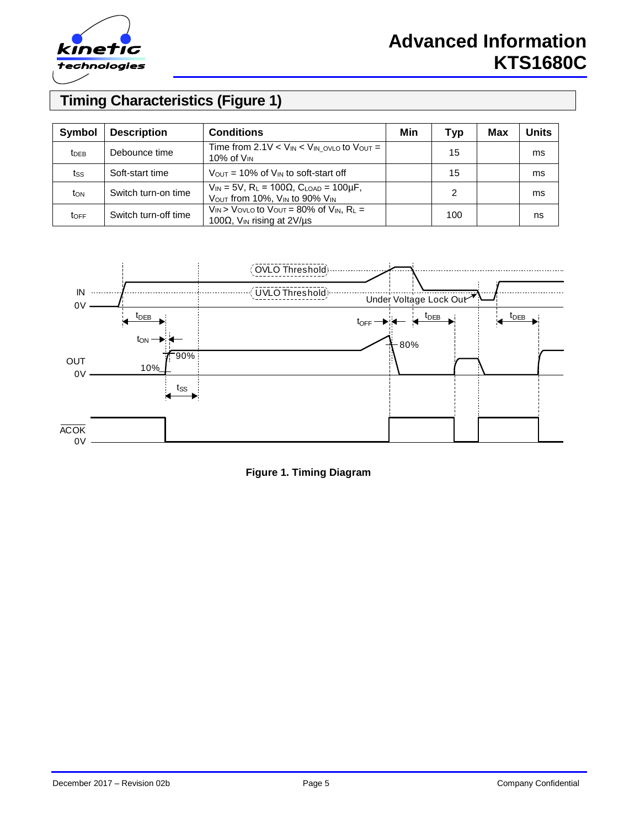

# **Advanced Information KTS1680C**

# **Timing Characteristics (Figure 1)**

| Symbol                  | <b>Description</b>   | <b>Conditions</b>                                                                                                 | Min | Typ | Max | <b>Units</b> |
|-------------------------|----------------------|-------------------------------------------------------------------------------------------------------------------|-----|-----|-----|--------------|
| <b>t</b> <sub>DEB</sub> | Debounce time        | Time from 2.1V $\lt$ V <sub>IN</sub> $\lt$ V <sub>IN</sub> ovLo to Vout =<br>10% of $V_{IN}$                      |     | 15  |     | ms           |
| tss                     | Soft-start time      | $V_{\text{OUT}}$ = 10% of $V_{\text{IN}}$ to soft-start off                                                       |     | 15  |     | ms           |
| ton                     | Switch turn-on time  | $V_{IN} = 5V$ , R <sub>L</sub> = 100 $\Omega$ , C <sub>LOAD</sub> = 100 $\mu$ F,<br>VOUT from 10%, VIN to 90% VIN |     | 2   |     | ms           |
| <b>TOFF</b>             | Switch turn-off time | $V_{IN}$ > Vovlo to Vout = 80% of $V_{IN}$ , R <sub>L</sub> =<br>100 $\Omega$ , V <sub>IN</sub> rising at 2V/us   |     | 100 |     | ns           |



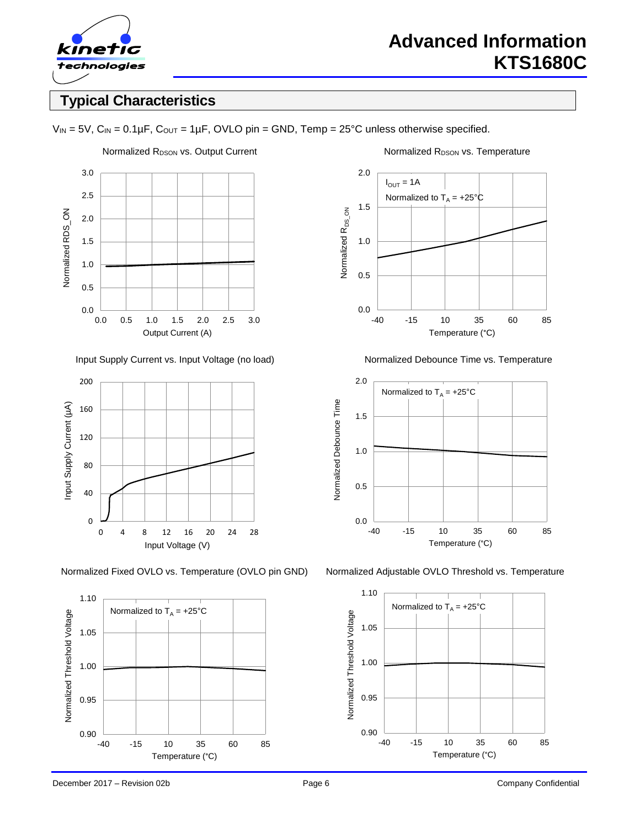

## **Typical Characteristics**

 $V_{IN} = 5V$ ,  $C_{IN} = 0.1 \mu F$ ,  $C_{OUT} = 1 \mu F$ , OVLO pin = GND, Temp = 25°C unless otherwise specified.



Input Supply Current vs. Input Voltage (no load) Normalized Debounce Time vs. Temperature





2.0  $I_{\text{OUT}} = 1A$ Normalized to  $T_A = +25^\circ \text{C}$ 1.5 Normalized R<sub>DS\_ON</sub> Normalized R<sub>DS\_ON</sub> 1.0 0.5 0.0 -40 -15 10 35 60 85 Temperature (°C)



Normalized Fixed OVLO vs. Temperature (OVLO pin GND) Normalized Adjustable OVLO Threshold vs. Temperature

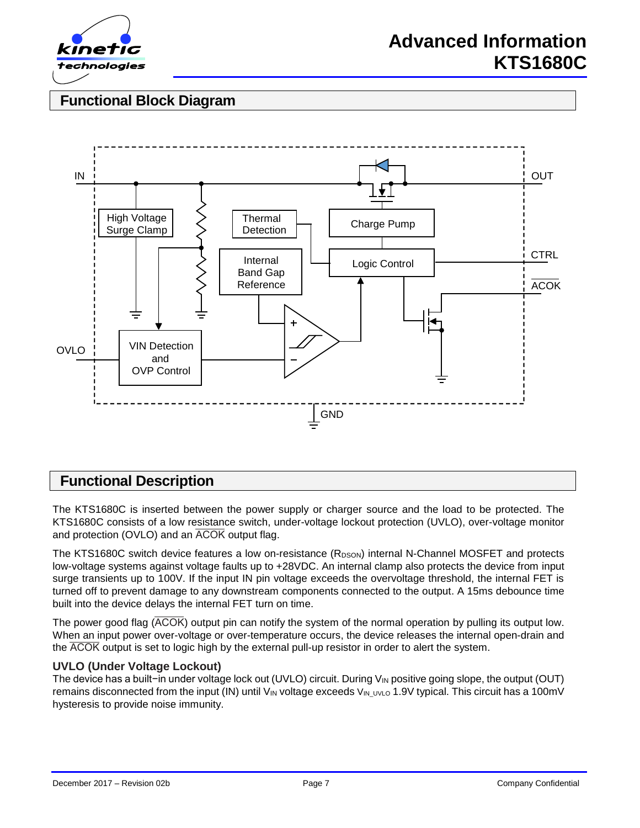

## **Functional Block Diagram**



## **Functional Description**

The KTS1680C is inserted between the power supply or charger source and the load to be protected. The KTS1680C consists of a low resistance switch, under-voltage lockout protection (UVLO), over-voltage monitor and protection (OVLO) and an  $\overline{ACOK}$  output flag.

The KTS1680C switch device features a low on-resistance  $(R_{DSON})$  internal N-Channel MOSFET and protects low-voltage systems against voltage faults up to +28VDC. An internal clamp also protects the device from input surge transients up to 100V. If the input IN pin voltage exceeds the overvoltage threshold, the internal FET is turned off to prevent damage to any downstream components connected to the output. A 15ms debounce time built into the device delays the internal FET turn on time.

The power good flag  $\overline{(ACOK)}$  output pin can notify the system of the normal operation by pulling its output low. When an input power over-voltage or over-temperature occurs, the device releases the internal open-drain and the ACOK output is set to logic high by the external pull-up resistor in order to alert the system.

#### **UVLO (Under Voltage Lockout)**

The device has a built−in under voltage lock out (UVLO) circuit. During V<sub>IN</sub> positive going slope, the output (OUT) remains disconnected from the input (IN) until V<sub>IN</sub> voltage exceeds V<sub>IN UVLO</sub> 1.9V typical. This circuit has a 100mV hysteresis to provide noise immunity.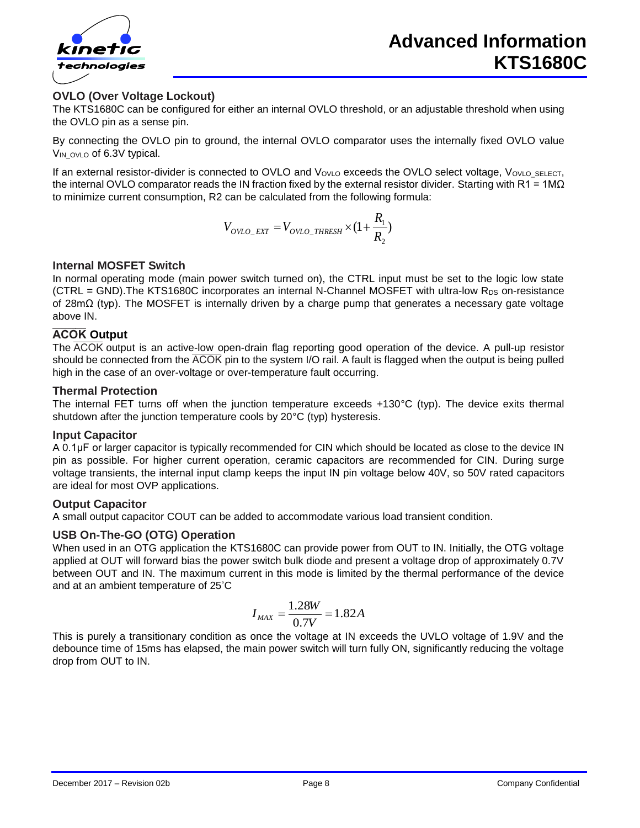

#### **OVLO (Over Voltage Lockout)**

The KTS1680C can be configured for either an internal OVLO threshold, or an adjustable threshold when using the OVLO pin as a sense pin.

By connecting the OVLO pin to ground, the internal OVLO comparator uses the internally fixed OVLO value V<sub>IN</sub> ovlo of 6.3V typical.

If an external resistor-divider is connected to OVLO and VovLo exceeds the OVLO select voltage, VovLo\_SELECT, the internal OVLO comparator reads the IN fraction fixed by the external resistor divider. Starting with R1 = 1M $\Omega$ to minimize current consumption, R2 can be calculated from the following formula:

$$
V_{OVLO\_EXT} = V_{OVLO\_THRESH} \times (1 + \frac{R_1}{R_2})
$$

#### **Internal MOSFET Switch**

In normal operating mode (main power switch turned on), the CTRL input must be set to the logic low state  $(CTRL = GND)$ . The KTS1680C incorporates an internal N-Channel MOSFET with ultra-low R<sub>DS</sub> on-resistance of 28mΩ (typ). The MOSFET is internally driven by a charge pump that generates a necessary gate voltage above IN.

#### **ACOK** Output

The  $\overline{ACOK}$  output is an active-low open-drain flag reporting good operation of the device. A pull-up resistor should be connected from the  $\overline{ACOK}$  pin to the system I/O rail. A fault is flagged when the output is being pulled high in the case of an over-voltage or over-temperature fault occurring.

#### **Thermal Protection**

The internal FET turns off when the junction temperature exceeds +130°C (typ). The device exits thermal shutdown after the junction temperature cools by 20°C (typ) hysteresis.

#### **Input Capacitor**

A 0.1μF or larger capacitor is typically recommended for CIN which should be located as close to the device IN pin as possible. For higher current operation, ceramic capacitors are recommended for CIN. During surge voltage transients, the internal input clamp keeps the input IN pin voltage below 40V, so 50V rated capacitors are ideal for most OVP applications.

#### **Output Capacitor**

A small output capacitor COUT can be added to accommodate various load transient condition.

#### **USB On-The-GO (OTG) Operation**

When used in an OTG application the KTS1680C can provide power from OUT to IN. Initially, the OTG voltage applied at OUT will forward bias the power switch bulk diode and present a voltage drop of approximately 0.7V between OUT and IN. The maximum current in this mode is limited by the thermal performance of the device and at an ambient temperature of 25°C

$$
I_{MAX} = \frac{1.28W}{0.7V} = 1.82A
$$

This is purely a transitionary condition as once the voltage at IN exceeds the UVLO voltage of 1.9V and the debounce time of 15ms has elapsed, the main power switch will turn fully ON, significantly reducing the voltage drop from OUT to IN.